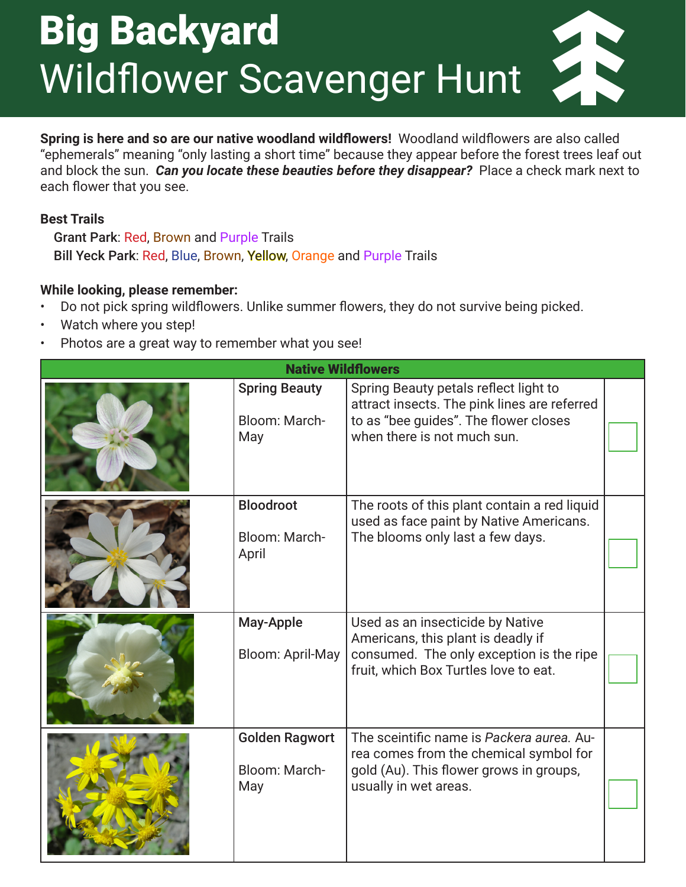## Big Backyard Wildflower Scavenger Hunt

**Spring is here and so are our native woodland wildflowers!** Woodland wildflowers are also called "ephemerals" meaning "only lasting a short time" because they appear before the forest trees leaf out and block the sun. *Can you locate these beauties before they disappear?* Place a check mark next to each flower that you see.

## **Best Trails**

Grant Park: Red, Brown and Purple Trails Bill Yeck Park: Red, Blue, Brown, Yellow, Orange and Purple Trails

## **While looking, please remember:**

- Do not pick spring wildflowers. Unlike summer flowers, they do not survive being picked.
- Watch where you step!
- Photos are a great way to remember what you see!

| <b>Native Wildflowers</b> |                                               |                                                                                                                                                               |  |  |
|---------------------------|-----------------------------------------------|---------------------------------------------------------------------------------------------------------------------------------------------------------------|--|--|
|                           | <b>Spring Beauty</b><br>Bloom: March-<br>May  | Spring Beauty petals reflect light to<br>attract insects. The pink lines are referred<br>to as "bee guides". The flower closes<br>when there is not much sun. |  |  |
|                           | <b>Bloodroot</b><br>Bloom: March-<br>April    | The roots of this plant contain a red liquid<br>used as face paint by Native Americans.<br>The blooms only last a few days.                                   |  |  |
|                           | May-Apple<br><b>Bloom: April-May</b>          | Used as an insecticide by Native<br>Americans, this plant is deadly if<br>consumed. The only exception is the ripe<br>fruit, which Box Turtles love to eat.   |  |  |
|                           | <b>Golden Ragwort</b><br>Bloom: March-<br>May | The sceintific name is Packera aurea. Au-<br>rea comes from the chemical symbol for<br>gold (Au). This flower grows in groups,<br>usually in wet areas.       |  |  |